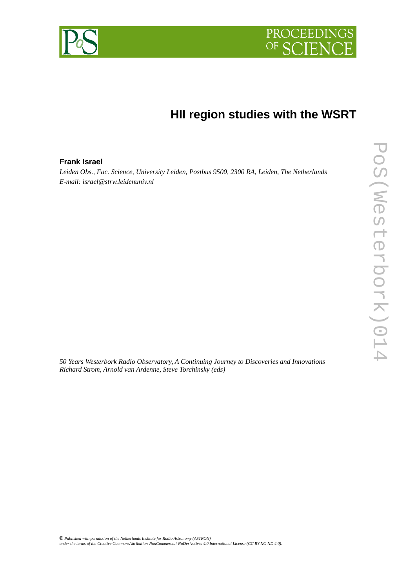



# **HII region studies with the WSRT**

# **Frank Israel**

*Leiden Obs., Fac. Science, University Leiden, Postbus 9500, 2300 RA, Leiden, The Netherlands E-mail: israel@strw.leidenuniv.nl*

*50 Years Westerbork Radio Observatory, A Continuing Journey to Discoveries and Innovations Richard Strom, Arnold van Ardenne, Steve Torchinsky (eds)*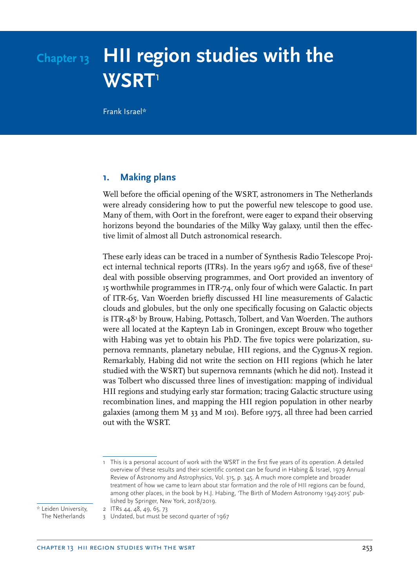# **Chapter 13 HII region studies with the WSRT**<sup>1</sup>

Frank Israel\*

# **1. Making plans**

Well before the official opening of the WSRT, astronomers in The Netherlands were already considering how to put the powerful new telescope to good use. Many of them, with Oort in the forefront, were eager to expand their observing horizons beyond the boundaries of the Milky Way galaxy, until then the effective limit of almost all Dutch astronomical research.

These early ideas can be traced in a number of Synthesis Radio Telescope Project internal technical reports (ITRs). In the years 1967 and 1968, five of these<sup>2</sup> deal with possible observing programmes, and Oort provided an inventory of 15 worthwhile programmes in ITR-74, only four of which were Galactic. In part of ITR-65, Van Woerden briefly discussed HI line measurements of Galactic clouds and globules, but the only one specifically focusing on Galactic objects is ITR-48<sup>3</sup> by Brouw, Habing, Pottasch, Tolbert, and Van Woerden. The authors were all located at the Kapteyn Lab in Groningen, except Brouw who together with Habing was yet to obtain his PhD. The five topics were polarization, supernova remnants, planetary nebulae, HII regions, and the Cygnus-X region. Remarkably, Habing did not write the section on HII regions (which he later studied with the WSRT) but supernova remnants (which he did not). Instead it was Tolbert who discussed three lines of investigation: mapping of individual HII regions and studying early star formation; tracing Galactic structure using recombination lines, and mapping the HII region population in other nearby galaxies (among them M 33 and M 101). Before 1975, all three had been carried out with the WSRT.

\* Leiden University, The Netherlands

2 ITRs 44, 48, 49, 65, 73 3 Undated, but must be second quarter of 1967

<sup>1</sup> This is a personal account of work with the WSRT in the first five years of its operation. A detailed overview of these results and their scientific context can be found in Habing & Israel, 1979 Annual Review of Astronomy and Astrophysics, Vol. 315, p. 345. A much more complete and broader treatment of how we came to learn about star formation and the role of HII regions can be found, among other places, in the book by H.J. Habing, 'The Birth of Modern Astronomy 1945-2015' published by Springer, New York, 2018/2019.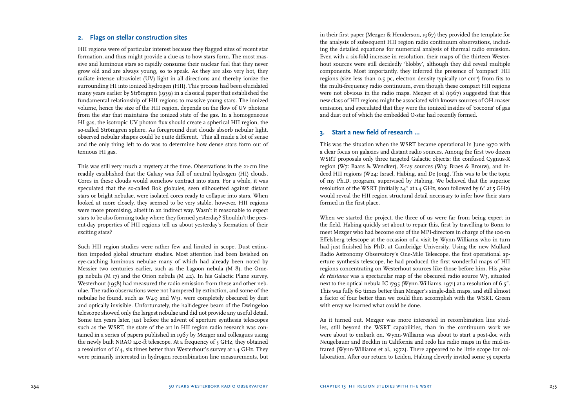#### **2. Flags on stellar construction sites**

HII regions were of particular interest because they flagged sites of recent star formation, and thus might provide a clue as to how stars form. The most mas sive and luminous stars so rapidly consume their nuclear fuel that they never grow old and are always young, so to speak. As they are also very hot, they radiate intense ultraviolet (UV) light in all directions and thereby ionize the surrounding HI into ionized hydrogen (HII). This process had been elucidated many years earlier by Strömgren (1939) in a classical paper that established the fundamental relationship of HII regions to massive young stars. The ionized volume, hence the size of the HII region, depends on the flow of UV photons from the star that maintains the ionized state of the gas. In a homogeneous HI gas, the isotropic UV photon flux should create a spherical HII region, the so-called Strömgren sphere. As foreground dust clouds absorb nebular light, observed nebular shapes could be quite different. This all made a lot of sense and the only thing left to do was to determine how dense stars form out of tenuous HI gas.

This was still very much a mystery at the time. Observations in the 21-cm line readily established that the Galaxy was full of neutral hydrogen (HI) clouds. Cores in these clouds would somehow contract into stars. For a while, it was speculated that the so-called Bok globules, seen silhouetted against distant stars or bright nebulae, were isolated cores ready to collapse into stars. When looked at more closely, they seemed to be very stable, however. HII regions were more promising, albeit in an indirect way. Wasn't it reasonable to expect stars to be also forming today where they formed yesterday? Shouldn't the pres ent-day properties of HII regions tell us about yesterday's formation of their exciting stars?

Such HII region studies were rather few and limited in scope. Dust extinc tion impeded global structure studies. Most attention had been lavished on eye-catching luminous nebulae many of which had already been noted by Messier two centuries earlier, such as the Lagoon nebula (M 8), the Ome ga nebula (M 17) and the Orion nebula (M 42). In his Galactic Plane survey, Westerhout (1958) had measured the radio emission from these and other neb ulae. The radio observations were not hampered by extinction, and some of the nebulae he found, such as W49 and W51, were completely obscured by dust and optically invisible. Unfortunately, the half-degree beam of the Dwingeloo telescope showed only the largest nebulae and did not provide any useful detail. Some ten years later, just before the advent of aperture synthesis telescopes such as the WSRT, the state of the art in HII region radio research was con tained in a series of papers published in 1967 by Mezger and colleagues using the newly built NRAO 140-ft telescope. At a frequency of 5 GHz, they obtained a resolution of 6'4, six times better than Westerhout's survey at 1.4 GHz. They were primarily interested in hydrogen recombination line measurements, but in their first paper (Mezger & Henderson, 1967) they provided the template for the analysis of subsequent HII region radio continuum observations, includ ing the detailed equations for numerical analysis of thermal radio emission. Even with a six-fold increase in resolution, their maps of the thirteen Westerhout sources were still decidedly 'blobby', although they did reveal multiple components. Most importantly, they inferred the presence of 'compact' HII regions (size less than 0.5 pc, electron density typically  $10^4$  cm<sup>3</sup>) from fits to the multi-frequency radio continuum, even though these compact HII regions were not obvious in the radio maps. Mezger et al (1967) suggested that this new class of HII regions might be associated with known sources of OH-maser emission, and speculated that they were the ionized insides of 'cocoons' of gas and dust out of which the embedded O-star had recently formed.

# **3. Start a new field of research ...**

This was the situation when the WSRT became operational in June 1970 with a clear focus on galaxies and distant radio sources. Among the first two dozen WSRT proposals only three targeted Galactic objects: the confused Cygnus-X region (W7: Baars & Wendker), X-ray sources (W13: Braes & Brouw), and in deed HII regions (W24: Israel, Habing, and De Jong). This was to be the topic of my Ph.D. program, supervised by Habing. We believed that the superior resolution of the WSRT (initially 24" at 1.4 GHz, soon followed by 6" at 5 GHz) would reveal the HII region structural detail necessary to infer how their stars formed in the first place.

When we started the project, the three of us were far from being expert in the field. Habing quickly set about to repair this, first by travelling to Bonn to meet Mezger who had become one of the MPI-directors in charge of the 100-m Effelsberg telescope at the occasion of a visit by Wynn-Williams who in turn had just finished his PhD. at Cambridge University. Using the new Mullard Radio Astronomy Observatory's One-Mile Telescope, the first operational ap erture synthesis telescope, he had produced the first wonderful maps of HII regions concentrating on Westerhout sources like those before him. His *pièce de résistance* was a spectacular map of the obscured radio source W3, situated next to the optical nebula IC 1795 (Wynn-Williams, 1971) at a resolution of 6.5". This was fully 60 times better than Mezger's single-dish maps, and still almost a factor of four better than we could then accomplish with the WSRT. Green with envy we learned what could be done.

As it turned out, Mezger was more interested in recombination line stud ies, still beyond the WSRT capabilities, than in the continuum work we were about to embark on. Wynn-Williams was about to start a post-doc with Neugebauer and Becklin in California and redo his radio maps in the mid-in frared (Wynn-Williams et al., 1972). There appeared to be little scope for col laboration. After our return to Leiden, Habing cleverly invited some 35 experts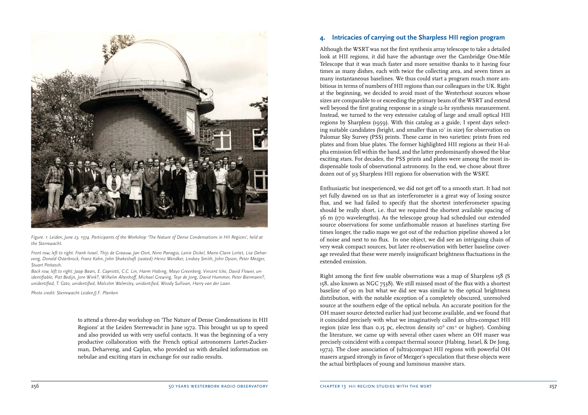

*Figure. 1: Leiden, June 23, 1974. Participants of the Workshop 'The Nature of Dense Condensations in HII Regions', held at the Sterrewacht.*

*Front row, left to right: Frank Israel, Thijs de Graauw, Jan Oort, Nino Panagia, Lanie Dickel, Marie-Claire Lortet, Lise Deharveng, Donald Osterbrock, Franz Kahn, John Shakeshaft (seated) Heinz Wendker, Lindsey Smith, John Dyson, Peter Mezger, Stuart Pottasch.*

*Back row, left to right: Jaap Baars, E. Capriotti, C.C. Lin, Harm Habing, Mayo Greenberg, Vincent Icke, David Flower, unidentifiable, Piet Bedijn, Jorn Wink?, Wilhelm Altenhoff, Michael Grewing, Teye de Jong, David Hummer, Peter Biermann?, unidentified, T. Cato, unidentified, Malcolm Walmsley, unidentified, Woody Sullivan, Harry van der Laan.*

*Photo credit: Sterrewacht Leiden/J.F. Planken*

to attend a three-day workshop on 'The Nature of Dense Condensations in HII Regions' at the Leiden Sterrewacht in June 1972. This brought us up to speed and also provided us with very useful contacts. It was the beginning of a very productive collaboration with the French optical astronomers Lortet-Zuckerman, Deharveng, and Caplan, who provided us with detailed information on nebulae and exciting stars in exchange for our radio results.

# **4. Intricacies of carrying out the Sharpless HII region program**

Although the WSRT was not the first synthesis array telescope to take a detailed look at HII regions, it did have the advantage over the Cambridge One-Mile Telescope that it was much faster and more sensitive thanks to it having four times as many dishes, each with twice the collecting area, and seven times as many instantaneous baselines. We thus could start a program much more ambitious in terms of numbers of HII regions than our colleagues in the UK. Right at the beginning, we decided to avoid most of the Westerhout sources whose sizes are comparable to or exceeding the primary beam of the WSRT and extend well beyond the first grating response in a single 12-hr synthesis measurement. Instead, we turned to the very extensive catalog of large and small optical HII regions by Sharpless (1959). With this catalog as a guide, I spent days selecting suitable candidates (bright, and smaller than 10' in size) for observation on Palomar Sky Survey (PSS) prints. These came in two varieties: prints from red plates and from blue plates. The former highlighted HII regions as their H-alpha emission fell within the band, and the latter predominantly showed the blue exciting stars. For decades, the PSS prints and plates were among the most indispensable tools of observational astronomy. In the end, we chose about three dozen out of 313 Sharpless HII regions for observation with the WSRT.

Enthusiastic but inexperienced, we did not get off to a smooth start. It had not yet fully dawned on us that an interferometer is a great way of losing source flux, and we had failed to specify that the shortest interferometer spacing should be really short, i.e. that we required the shortest available spacing of 36 m (170 wavelengths). As the telescope group had scheduled our extended source observations for some unfathomable reason at baselines starting five times longer, the radio maps we got out of the reduction pipeline showed a lot of noise and next to no flux. In one object, we did see an intriguing chain of very weak compact sources, but later re-observation with better baseline coverage revealed that these were merely insignificant brightness fluctuations in the extended emission.

Right among the first few usable observations was a map of Sharpless 158 (S 158, also known as NGC 7538). We still missed most of the flux with a shortest baseline of 90 m but what we did see was similar to the optical brightness distribution, with the notable exception of a completely obscured, unresolved source at the southern edge of the optical nebula. An accurate position for the OH maser source detected earlier had just become available, and we found that it coincided precisely with what we imaginatively called an ultra-compact HII region (size less than 0.15 pc, electron density 10 $^6$  cm<sup>3</sup> or higher). Combing the literature, we came up with several other cases where an OH maser was precisely coincident with a compact thermal source (Habing, Israel, & De Jong, 1972). The close association of (ultra)compact HII regions with powerful OH masers argued strongly in favor of Mezger's speculation that these objects were the actual birthplaces of young and luminous massive stars.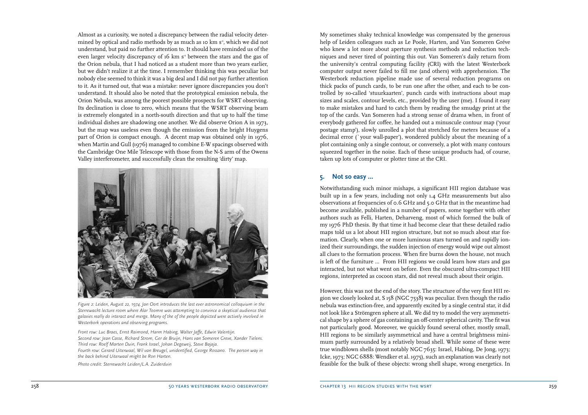Almost as a curiosity, we noted a discrepancy between the radial velocity determined by optical and radio methods by as much as 10 km s<sup>-1</sup>, which we did not understand, but paid no further attention to. It should have reminded us of the even larger velocity discrepancy of 16 km s<sup>-1</sup> between the stars and the gas of the Orion nebula, that I had noticed as a student more than two years earlier, but we didn't realize it at the time. I remember thinking this was peculiar but nobody else seemed to think it was a big deal and I did not pay further attention to it. As it turned out, that was a mistake: never ignore discrepancies you don't understand. It should also be noted that the prototypical emission nebula, the Orion Nebula, was among the poorest possible prospects for WSRT observing. Its declination is close to zero, which means that the WSRT observing beam is extremely elongated in a north-south direction and that up to half the time individual dishes are shadowing one another. We did observe Orion A in 1973, but the map was useless even though the emission from the bright Huygens part of Orion is compact enough. A decent map was obtained only in 1976, when Martin and Gull (1976) managed to combine E-W spacings observed with the Cambridge One Mile Telescope with those from the N-S arm of the Owens Valley interferometer, and successfully clean the resulting 'dirty' map.



*Figure 2: Leiden, August 22, 1974. Jan Oort introduces the last ever astronomical colloquium in the Sterrewacht lecture room where Alar Toomre was attempting to convince a skeptical audience that galaxies really do interact and merge. Many of the of the people depicted were actively involved in Westerbork operations and observing programs.* 

*Front row: Luc Braes, Ernst Raimond, Harm Habing, Walter Jaffe, Edwin Valentijn. Second row: Jean Casse, Richard Strom, Ger de Bruijn, Hans van Someren Greve, Xander Tielens. Third row: Roelf Marten Duin, Frank Israel, Johan Degeweij, Steve Bajaja. Fourth row: Gerard Uiterwaal, Wil van Breugel, unidentified, George Rossano. The person way in the back behind Uiterwaal might be Ron Harten.*

*Photo credit: Sterrewacht Leiden/L.A. Zuiderduin*

My sometimes shaky technical knowledge was compensated by the generous help of Leiden colleagues such as Le Poole, Harten, and Van Someren Gréve who knew a lot more about aperture synthesis methods and reduction tech niques and never tired of pointing this out. Van Someren's daily return from the university's central computing facility (CRI) with the latest Westerbork computer output never failed to fill me (and others) with apprehension. The Westerbork reduction pipeline made use of several reduction programs on thick packs of punch cards, to be run one after the other, and each to be con trolled by so-called 'stuurkaarten', punch cards with instructions about map sizes and scales, contour levels, etc., provided by the user (me). I found it easy to make mistakes and hard to catch them by reading the smudgy print at the top of the cards. Van Someren had a strong sense of drama when, in front of everybody gathered for coffee, he handed out a minuscule contour map ('your postage stamp'), slowly unrolled a plot that stretched for meters because of a decimal error (`your wall-paper'), wondered publicly about the meaning of a plot containing only a single contour, or conversely, a plot with many contours squeezed together in the noise. Each of these unique products had, of course, taken up lots of computer or plotter time at the CRI.

#### **5. Not so easy ...**

Notwithstanding such minor mishaps, a significant HII region database was built up in a few years, including not only 1.4 GHz measurements but also observations at frequencies of 0.6 GHz and 5.0 GHz that in the meantime had become available, published in a number of papers, some together with other authors such as Felli, Harten, Deharveng, most of which formed the bulk of my 1976 PhD thesis. By that time it had become clear that these detailed radio maps told us a lot about HII region structure, but not so much about star formation. Clearly, when one or more luminous stars turned on and rapidly ionized their surroundings, the sudden injection of energy would wipe out almost all clues to the formation process. When fire burns down the house, not much is left of the furniture … From HII regions we could learn how stars and gas interacted, but not what went on before. Even the obscured ultra-compact HII regions, interpreted as cocoon stars, did not reveal much about their origin.

However, this was not the end of the story. The structure of the very first HII re gion we closely looked at, S 158 (NGC 7538) was peculiar. Even though the radio nebula was extinction-free, and apparently excited by a single central star, it did not look like a Strömgren sphere at all. We did try to model the very asymmetri cal shape by a sphere of gas containing an off-center spherical cavity. The fit was not particularly good. Moreover, we quickly found several other, mostly small, HII regions to be similarly asymmetrical and have a central brightness mini mum partly surrounded by a relatively broad shell. While some of these were true windblown shells (most notably NGC 7635: Israel, Habing, De Jong, 1973; Icke, 1973; NGC 6888: Wendker et al. 1975), such an explanation was clearly not feasible for the bulk of these objects: wrong shell shape, wrong energetics. In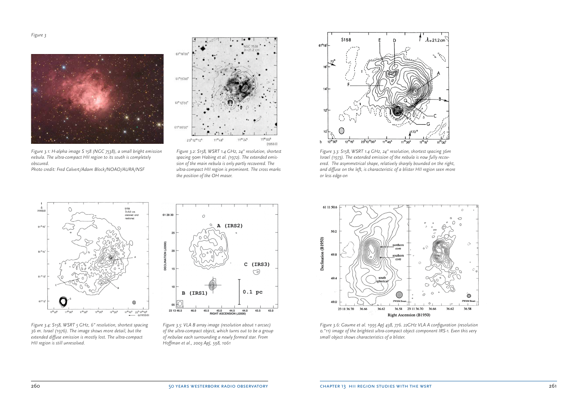

*Figure 3.1: H-alpha image S 158 (NGC 7538), a small bright emission nebula. The ultra-compact HII region to its south is completely obscured.*

*Photo credit: Fred Calvert/Adam Block/NOAO/AURA/NSF*



*Figure 3.4: S158, WSRT 5 GHz, 6" resolution, shortest spacing 36 m. Israel (1976). The image shows more detail, but the extended diffuse emission is mostly lost. The ultra-compact HII region is still unresolved.*



*Figure 3.2: S158, WSRT 1.4 GHz, 24" resolution, shortest spacing 90m Habing et al. (1972). The extended emission of the main nebula is only partly recovered. The ultra-compact HII region is prominent. The cross marks the position of the OH maser.*



*Figure 3.5: VLA B array image (resolution about 1 arcsec) of the ultra-compact object, which turns out to be a group of nebulae each surrounding a newly formed star. From Hoffman et al., 2003 ApJ, 598, 1061*



*Figure 3.3: S158, WSRT 1.4 GHz, 24" resolution, shortest spacing 36m Israel (1973). The extended emission of the nebula is now fully recovered. The asymmetrical shape, relatively sharply bounded on the right, and diffuse on the left, is characteristic of a blister HII region seen more or less edge-on*



*Figure 3.6: Gaume et al. 1995 ApJ 438, 776. 22GHz VLA A configuration (resolution 0."11) image of the brightest ultra-compact object component IRS-1. Even this very small object shows characteristics of a blister.*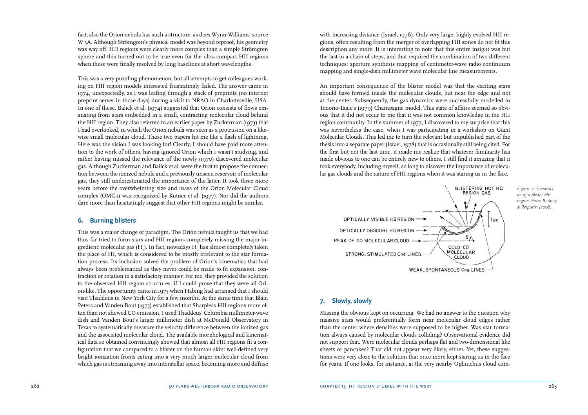fact, also the Orion nebula has such a structure, as does Wynn-Williams' source W 3A. Although Strömgren's physical model was beyond reproof, his geometry was way off. HII regions were clearly more complex than a simple Strömgren sphere and this turned out to be true even for the ultra-compact HII regions when these were finally resolved by long baselines at short wavelengths.

This was a very puzzling phenomenon, but all attempts to get colleagues working on HII region models interested frustratingly failed. The answer came in 1974, unexpectedly, as I was leafing through a stack of preprints (no internet preprint server in those days) during a visit to NRAO in Charlottesville, USA. In one of these, Balick et al. (1974) suggested that Orion consists of flows emanating from stars embedded in a small, contracting molecular cloud behind the HII region. They also referred to an earlier paper by Zuckerman (1973) that I had overlooked, in which the Orion nebula was seen as a protrusion on a likewise small molecular cloud. These two papers hit me like a flash of lightning. Here was the vision I was looking for! Clearly, I should have paid more attention to the work of others, having ignored Orion which I wasn't studying, and rather having missed the relevance of the newly (1970) discovered molecular gas. Although Zuckerman and Balick et al. were the first to propose the connection between the ionized nebula and a previously unseen reservoir of molecular gas, they still underestimated the importance of the latter. It took three more years before the overwhelming size and mass of the Orion Molecular Cloud complex (OMC-1) was recognized by Kutner et al. (1977). Nor did the authors dare more than hesitatingly suggest that other HII regions might be similar.

# **6. Burning blisters**

This was a major change of paradigm. The Orion nebula taught us that we had thus far tried to form stars and HII regions completely missing the major ingredient: molecular gas (H<sub>2</sub>). In fact, nowadays H<sub>2</sub> has almost completely taken the place of HI, which is considered to be mostly irrelevant to the star formation process. Its inclusion solved the problem of Orion's kinematics that had always been problematical as they never could be made to fit expansion, contraction or rotation in a satisfactory manner. For me, they provided the solution to the observed HII region structures, if I could prove that they were all Orion-like. The opportunity came in 1975 when Habing had arranged that I should visit Thaddeus in New York City for a few months. At the same time that Blair, Peters and Vanden Bout (1975) established that Sharpless HII regions more often than not showed CO emission, I used Thaddeus' Columbia millimeter-wave dish and Vanden Bout's larger millimeter dish at McDonald Observatory in Texas to systematically measure the velocity difference between the ionized gas and the associated molecular cloud. The available morphological and kinematical data so obtained convincingly showed that almost all HII regions fit a configuration that we compared to a blister on the human skin: well-defined very bright ionization fronts eating into a very much larger molecular cloud from which gas is streaming away into interstellar space, becoming more and diffuse

with increasing distance (Israel, 1976). Only very large, highly evolved HII regions, often resulting from the merger of overlapping HII zones do not fit this description any more. It is interesting to note that this entire insight was but the last in a chain of steps, and that required the combination of two different techniques: aperture synthesis mapping of centimeter-wave radio continuum mapping and single-dish millimeter wave molecular line measurements.

An important consequence of the blister model was that the exciting stars should have formed inside the molecular clouds, but near the edge and not at the center. Subsequently, the gas dynamics were successfully modelled in Tenorio-Tagle's (1979) Champagne model. This state of affairs seemed so obvious that it did not occur to me that it was not common knowledge in the HII region community. In the summer of 1977, I discovered to my surprise that this was nevertheless the case, when I was participating in a workshop on Giant Molecular Clouds. This led me to turn the relevant but unpublished part of the thesis into a separate paper (Israel, 1978) that is occasionally still being cited. For the first but not the last time, it made me realize that whatever familiarity has made obvious to one can be entirely new to others. I still find it amazing that it took everybody, including myself, so long to discover the importance of molecular gas clouds and the nature of HII regions when it was staring us in the face.



# **7. Slowly, slowly**

Missing the obvious kept on occurring. We had no answer to the question why massive stars would preferentially form near molecular cloud edges rather than the center where densities were supposed to be higher. Was star formation always caused by molecular clouds colliding? Observational evidence did not support that. Were molecular clouds perhaps flat and two-dimensional like sheets or pancakes? That did not appear very likely, either. Yet, these suggestions were very close to the solution that once more kept staring us in the face for years. If one looks, for instance, at the very nearby Ophiuchus cloud com